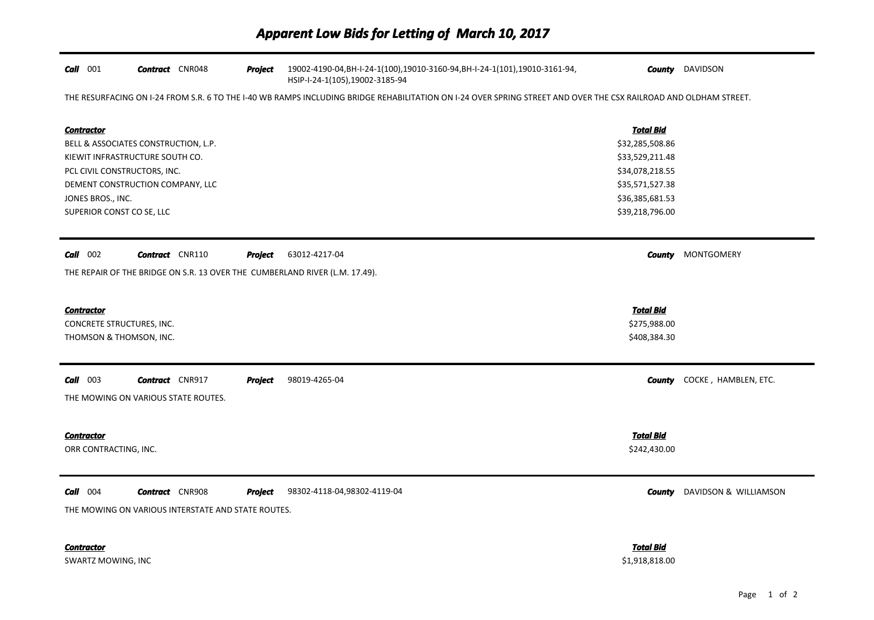| $Call$ 001                           | <b>Contract</b> CNR048 |                                                    | <b>Project</b> | 19002-4190-04, BH-I-24-1(100), 19010-3160-94, BH-I-24-1(101), 19010-3161-94,<br>HSIP-I-24-1(105),19002-3185-94                                                   |                  | <b>County</b> DAVIDSON |
|--------------------------------------|------------------------|----------------------------------------------------|----------------|------------------------------------------------------------------------------------------------------------------------------------------------------------------|------------------|------------------------|
|                                      |                        |                                                    |                | THE RESURFACING ON I-24 FROM S.R. 6 TO THE I-40 WB RAMPS INCLUDING BRIDGE REHABILITATION ON I-24 OVER SPRING STREET AND OVER THE CSX RAILROAD AND OLDHAM STREET. |                  |                        |
| <b>Contractor</b>                    |                        |                                                    |                |                                                                                                                                                                  | <b>Total Bid</b> |                        |
| BELL & ASSOCIATES CONSTRUCTION, L.P. |                        |                                                    |                |                                                                                                                                                                  | \$32,285,508.86  |                        |
| KIEWIT INFRASTRUCTURE SOUTH CO.      |                        |                                                    |                |                                                                                                                                                                  | \$33,529,211.48  |                        |
| PCL CIVIL CONSTRUCTORS, INC.         |                        |                                                    |                |                                                                                                                                                                  | \$34,078,218.55  |                        |
| DEMENT CONSTRUCTION COMPANY, LLC     |                        |                                                    |                |                                                                                                                                                                  | \$35,571,527.38  |                        |
| JONES BROS., INC.                    |                        |                                                    |                |                                                                                                                                                                  | \$36,385,681.53  |                        |
| SUPERIOR CONST CO SE, LLC            |                        |                                                    |                |                                                                                                                                                                  | \$39,218,796.00  |                        |
| $Call$ 002                           | <b>Contract</b> CNR110 |                                                    | Project        | 63012-4217-04                                                                                                                                                    | County           | <b>MONTGOMERY</b>      |
|                                      |                        |                                                    |                | THE REPAIR OF THE BRIDGE ON S.R. 13 OVER THE CUMBERLAND RIVER (L.M. 17.49).                                                                                      |                  |                        |
| <b>Contractor</b>                    |                        |                                                    |                |                                                                                                                                                                  | <b>Total Bid</b> |                        |
| CONCRETE STRUCTURES, INC.            |                        |                                                    |                |                                                                                                                                                                  | \$275,988.00     |                        |
| THOMSON & THOMSON, INC.              |                        |                                                    |                |                                                                                                                                                                  | \$408,384.30     |                        |
|                                      |                        |                                                    |                |                                                                                                                                                                  |                  |                        |
| $Call$ 003                           | <b>Contract</b> CNR917 |                                                    | <b>Project</b> | 98019-4265-04                                                                                                                                                    | County           | COCKE, HAMBLEN, ETC.   |
| THE MOWING ON VARIOUS STATE ROUTES.  |                        |                                                    |                |                                                                                                                                                                  |                  |                        |
| <b>Contractor</b>                    |                        |                                                    |                |                                                                                                                                                                  | <b>Total Bid</b> |                        |
| ORR CONTRACTING, INC.                |                        |                                                    |                |                                                                                                                                                                  | \$242,430.00     |                        |
|                                      |                        |                                                    |                |                                                                                                                                                                  |                  |                        |
| $Call$ 004                           | <b>Contract</b> CNR908 |                                                    | <b>Project</b> | 98302-4118-04,98302-4119-04                                                                                                                                      | <b>County</b>    | DAVIDSON & WILLIAMSON  |
|                                      |                        | THE MOWING ON VARIOUS INTERSTATE AND STATE ROUTES. |                |                                                                                                                                                                  |                  |                        |
| <b>Contractor</b>                    |                        |                                                    |                |                                                                                                                                                                  | Total Bid        |                        |
| <b>SWARTZ MOWING, INC</b>            |                        |                                                    |                |                                                                                                                                                                  | \$1,918,818.00   |                        |